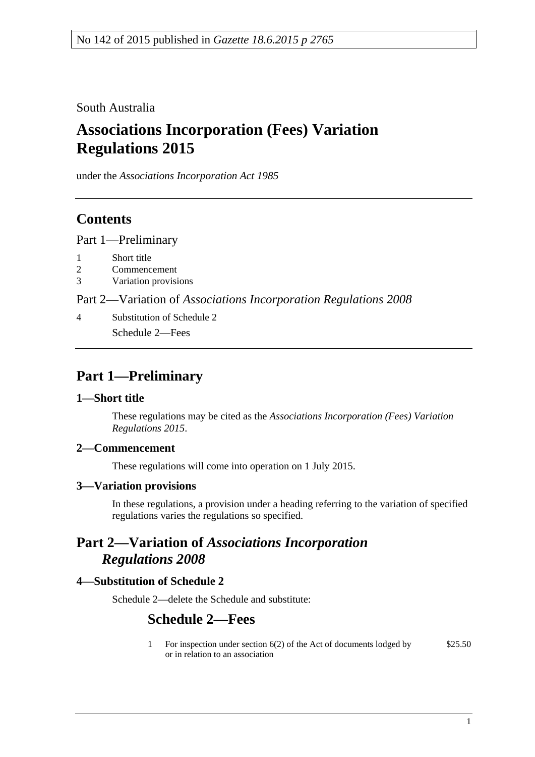South Australia

# **Associations Incorporation (Fees) Variation Regulations 2015**

under the *Associations Incorporation Act 1985*

### **Contents**

Part [1—Preliminary](#page-0-0)

- 1 [Short title](#page-0-1)
- 2 [Commencement](#page-0-2)
- 3 [Variation provisions](#page-0-3)

Part 2—Variation of *[Associations Incorporation Regulations](#page-0-4) 2008*

4 [Substitution of Schedule 2](#page-0-5) Schedule 2—Fees

## <span id="page-0-0"></span>**Part 1—Preliminary**

#### <span id="page-0-1"></span>**1—Short title**

These regulations may be cited as the *Associations Incorporation (Fees) Variation Regulations 2015*.

#### <span id="page-0-2"></span>**2—Commencement**

These regulations will come into operation on 1 July 2015.

#### <span id="page-0-3"></span>**3—Variation provisions**

In these regulations, a provision under a heading referring to the variation of specified regulations varies the regulations so specified.

### <span id="page-0-4"></span>**Part 2—Variation of** *Associations Incorporation Regulations 2008*

#### <span id="page-0-5"></span>**4—Substitution of Schedule 2**

Schedule 2—delete the Schedule and substitute:

### **Schedule 2—Fees**

1 For inspection under section 6(2) of the Act of documents lodged by or in relation to an association \$25.50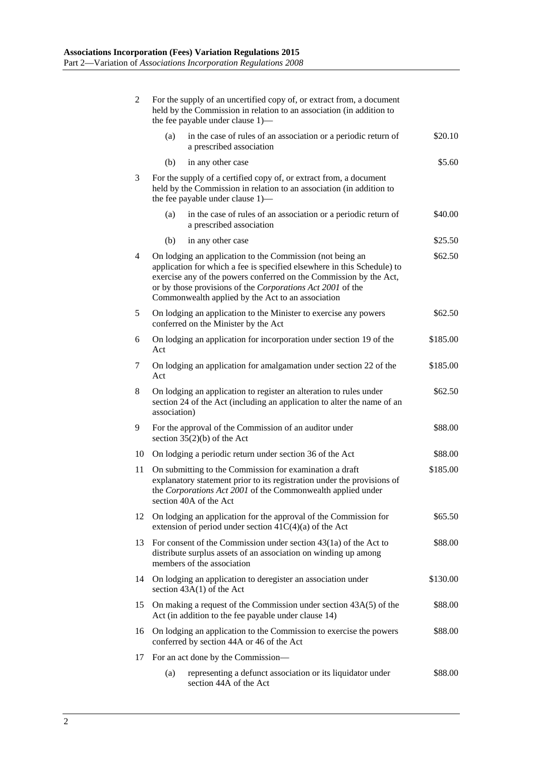| $\overline{2}$ | For the supply of an uncertified copy of, or extract from, a document<br>held by the Commission in relation to an association (in addition to<br>the fee payable under clause 1)—                                                                                                                                                        |         |  |  |
|----------------|------------------------------------------------------------------------------------------------------------------------------------------------------------------------------------------------------------------------------------------------------------------------------------------------------------------------------------------|---------|--|--|
|                | in the case of rules of an association or a periodic return of<br>(a)<br>a prescribed association                                                                                                                                                                                                                                        | \$20.10 |  |  |
|                | (b)<br>in any other case                                                                                                                                                                                                                                                                                                                 | \$5.60  |  |  |
| 3              | For the supply of a certified copy of, or extract from, a document<br>held by the Commission in relation to an association (in addition to<br>the fee payable under clause 1)—                                                                                                                                                           |         |  |  |
|                | in the case of rules of an association or a periodic return of<br>(a)<br>a prescribed association                                                                                                                                                                                                                                        | \$40.00 |  |  |
|                | (b)<br>in any other case                                                                                                                                                                                                                                                                                                                 | \$25.50 |  |  |
| 4              | On lodging an application to the Commission (not being an<br>\$62.50<br>application for which a fee is specified elsewhere in this Schedule) to<br>exercise any of the powers conferred on the Commission by the Act,<br>or by those provisions of the Corporations Act 2001 of the<br>Commonwealth applied by the Act to an association |         |  |  |
| 5              | On lodging an application to the Minister to exercise any powers<br>conferred on the Minister by the Act                                                                                                                                                                                                                                 | \$62.50 |  |  |
| 6              | On lodging an application for incorporation under section 19 of the<br>\$185.00<br>Act                                                                                                                                                                                                                                                   |         |  |  |
| 7              | On lodging an application for amalgamation under section 22 of the<br>\$185.00<br>Act                                                                                                                                                                                                                                                    |         |  |  |
| 8              | On lodging an application to register an alteration to rules under<br>\$62.50<br>section 24 of the Act (including an application to alter the name of an<br>association)                                                                                                                                                                 |         |  |  |
| 9              | For the approval of the Commission of an auditor under<br>\$88.00<br>section $35(2)(b)$ of the Act                                                                                                                                                                                                                                       |         |  |  |
| 10             | On lodging a periodic return under section 36 of the Act                                                                                                                                                                                                                                                                                 | \$88.00 |  |  |
| 11             | On submitting to the Commission for examination a draft<br>\$185.00<br>explanatory statement prior to its registration under the provisions of<br>the Corporations Act 2001 of the Commonwealth applied under<br>section 40A of the Act                                                                                                  |         |  |  |
| 12             | On lodging an application for the approval of the Commission for<br>extension of period under section $41C(4)(a)$ of the Act                                                                                                                                                                                                             | \$65.50 |  |  |
| 13             | For consent of the Commission under section $43(1a)$ of the Act to<br>\$88.00<br>distribute surplus assets of an association on winding up among<br>members of the association                                                                                                                                                           |         |  |  |
| 14             | On lodging an application to deregister an association under<br>\$130.00<br>section $43A(1)$ of the Act                                                                                                                                                                                                                                  |         |  |  |
| 15             | On making a request of the Commission under section 43A(5) of the<br>\$88.00<br>Act (in addition to the fee payable under clause 14)                                                                                                                                                                                                     |         |  |  |
| 16             | On lodging an application to the Commission to exercise the powers<br>\$88.00<br>conferred by section 44A or 46 of the Act                                                                                                                                                                                                               |         |  |  |
| 17             | For an act done by the Commission—                                                                                                                                                                                                                                                                                                       |         |  |  |
|                | representing a defunct association or its liquidator under<br>(a)<br>section 44A of the Act                                                                                                                                                                                                                                              | \$88.00 |  |  |